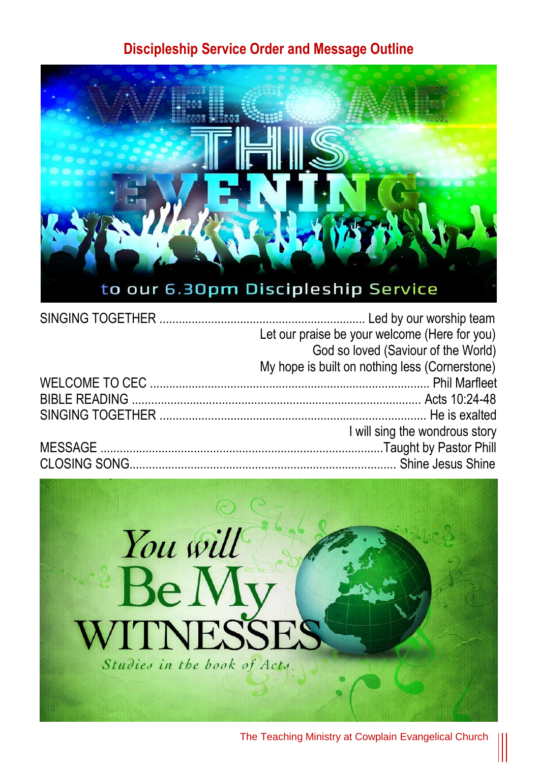## **Discipleship Service Order and Message Outline**



| Let our praise be your welcome (Here for you)  |
|------------------------------------------------|
| God so loved (Saviour of the World)            |
| My hope is built on nothing less (Cornerstone) |
|                                                |
|                                                |
|                                                |
| I will sing the wondrous story                 |
|                                                |
|                                                |
|                                                |

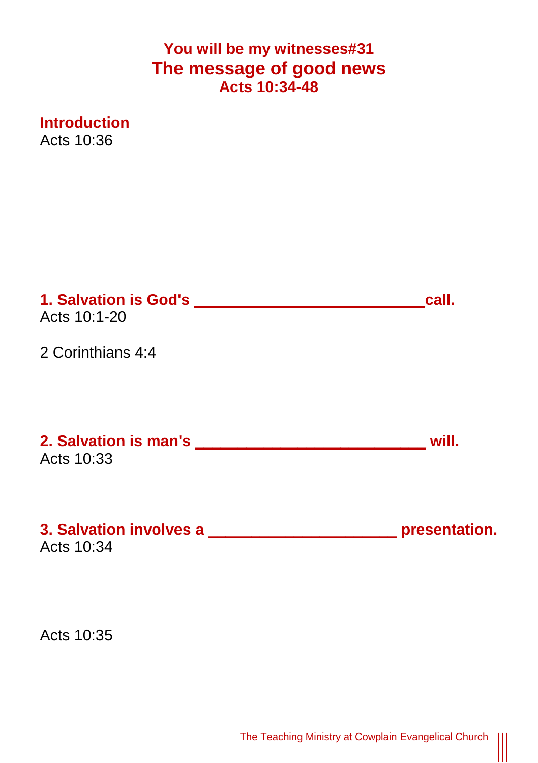## **You will be my witnesses#31 The message of good news Acts 10:34-48**

**Introduction** Acts 10:36

| 1. Salvation is God's <b>Salvation</b> is sensitive and the same of the sales of the same of the sales of the same of the sales of the sales of the sales of the sales of the sales of the sales of the sales of the sales of the s<br>Acts 10:1-20 | call.            |
|-----------------------------------------------------------------------------------------------------------------------------------------------------------------------------------------------------------------------------------------------------|------------------|
| 2 Corinthians 4:4                                                                                                                                                                                                                                   |                  |
| <b>2. Salvation is man's example the same of the same of the same of the same of the same of the same of the same of the same of the same of the same of the same of the same of the same of the same of the same of the same of</b><br>Acts 10:33  | will.            |
| 3. Salvation involves a<br>Acts 10:34                                                                                                                                                                                                               | __ presentation. |

Acts 10:35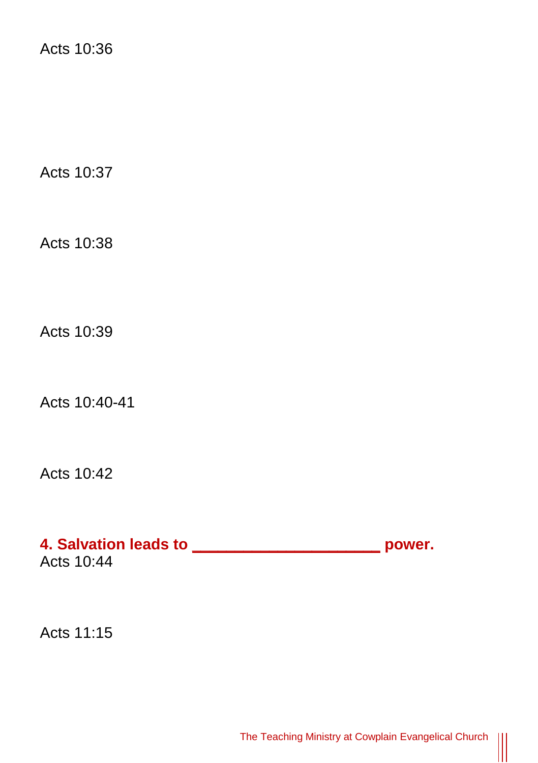Acts 10:36

Acts 10:37

Acts 10:38

Acts 10:39

Acts 10:40-41

Acts 10:42

**4. Salvation leads to \_\_\_\_\_\_\_\_\_\_\_\_\_\_\_\_\_\_\_\_\_\_ power.** Acts 10:44

Acts 11:15

 $\begin{matrix} \vspace{0.1cm} \vspace{0.1cm} \vspace{0.1cm} \vspace{0.1cm} \vspace{0.1cm} \vspace{0.1cm} \vspace{0.1cm} \vspace{0.1cm} \vspace{0.1cm} \vspace{0.1cm} \vspace{0.1cm} \vspace{0.1cm} \vspace{0.1cm} \vspace{0.1cm} \vspace{0.1cm} \vspace{0.1cm} \vspace{0.1cm} \vspace{0.1cm} \vspace{0.1cm} \vspace{0.1cm} \vspace{0.1cm} \vspace{0.1cm} \vspace{0.1cm} \vspace{0.1cm$